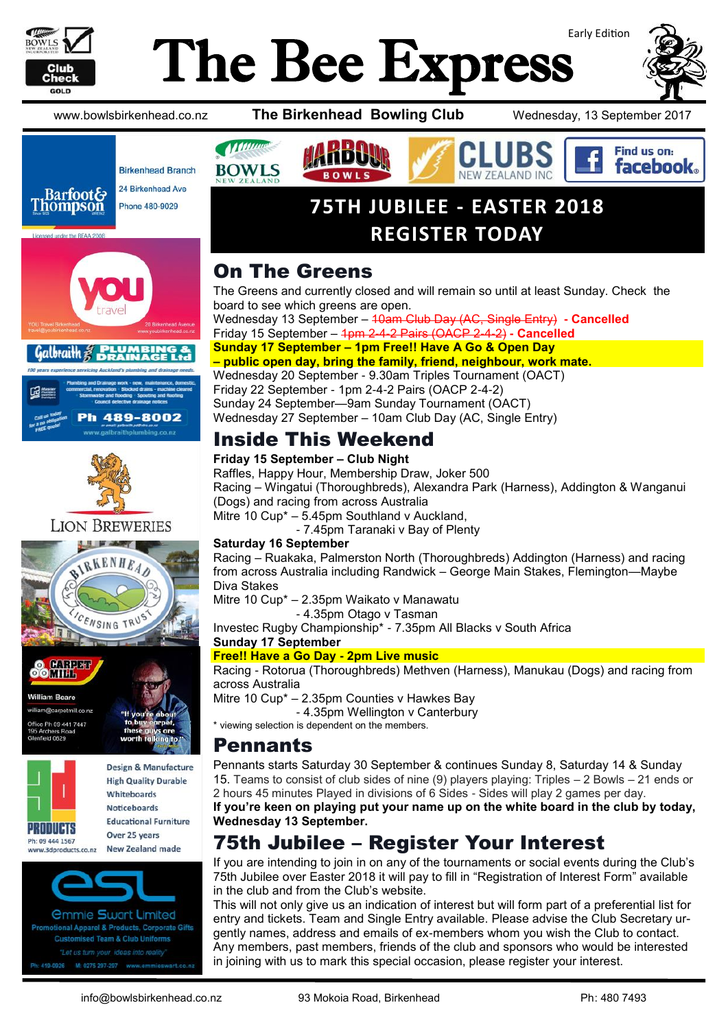

Galbraith

# Early Edition The Bee Express



Find us on: **facebook** 

www.bowlsbirkenhead.co.nz **The Birkenhead Bowling Club** Wednesday, 13 September 2017



h 489-8002



**All Manuel** 

**BOWLS** 

The Greens and currently closed and will remain so until at least Sunday. Check the board to see which greens are open. Wednesday 13 September – 10am Club Day (AC, Single Entry) **- Cancelled** 

**75TH JUBILEE - EASTER 2018**

**REGISTER TODAY**

Friday 15 September – 1pm 2-4-2 Pairs (OACP 2-4-2) **- Cancelled Sunday 17 September – 1pm Free!! Have A Go & Open Day**

**– public open day, bring the family, friend, neighbour, work mate.**

Wednesday 20 September - 9.30am Triples Tournament (OACT) Friday 22 September - 1pm 2-4-2 Pairs (OACP 2-4-2) Sunday 24 September—9am Sunday Tournament (OACT) Wednesday 27 September – 10am Club Day (AC, Single Entry)

### Inside This Weekend

**Friday 15 September – Club Night**

Raffles, Happy Hour, Membership Draw, Joker 500 Racing – Wingatui (Thoroughbreds), Alexandra Park (Harness), Addington & Wanganui (Dogs) and racing from across Australia

Mitre 10 Cup\* – 5.45pm Southland v Auckland,

- 7.45pm Taranaki v Bay of Plenty

#### **Saturday 16 September**

Racing – Ruakaka, Palmerston North (Thoroughbreds) Addington (Harness) and racing from across Australia including Randwick – George Main Stakes, Flemington—Maybe Diva Stakes

Mitre 10 Cup\* – 2.35pm Waikato v Manawatu

- 4.35pm Otago v Tasman

Investec Rugby Championship\* - 7.35pm All Blacks v South Africa

#### **Sunday 17 September**

#### **Free!! Have a Go Day - 2pm Live music**

Racing - Rotorua (Thoroughbreds) Methven (Harness), Manukau (Dogs) and racing from across Australia

Mitre 10 Cup\* – 2.35pm Counties v Hawkes Bay

- 4.35pm Wellington v Canterbury

\* viewing selection is dependent on the members.

#### Pennants

Pennants starts Saturday 30 September & continues Sunday 8, Saturday 14 & Sunday 15. Teams to consist of club sides of nine (9) players playing: Triples – 2 Bowls – 21 ends or 2 hours 45 minutes Played in divisions of 6 Sides - Sides will play 2 games per day.

**If you're keen on playing put your name up on the white board in the club by today, Wednesday 13 September.**

### 75th Jubilee – Register Your Interest

If you are intending to join in on any of the tournaments or social events during the Club's 75th Jubilee over Easter 2018 it will pay to fill in "Registration of Interest Form" available in the club and from the Club's website.

This will not only give us an indication of interest but will form part of a preferential list for entry and tickets. Team and Single Entry available. Please advise the Club Secretary urgently names, address and emails of ex-members whom you wish the Club to contact. Any members, past members, friends of the club and sponsors who would be interested in joining with us to mark this special occasion, please register your interest.



tional Apparel & Products, Corporate Gifts **Customised Team & Club Uniforms** 419-0926 M: 0275 297-297 www.em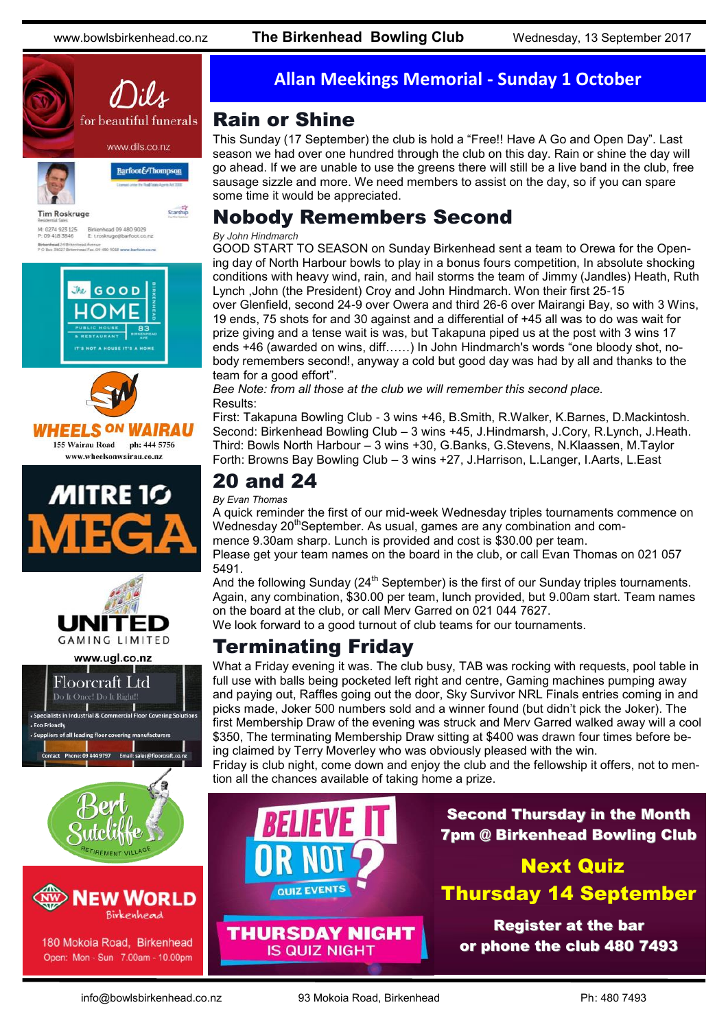www.bowlsbirkenhead.co.nz **The Birkenhead Bowling Club** Wednesday, 13 September 2017









www.ugl.co.nz





180 Mokoia Road, Birkenhead Open: Mon - Sun 7.00am - 10.00pm

#### **Allan Meekings Memorial - Sunday 1 October**

#### Rain or Shine

This Sunday (17 September) the club is hold a "Free!! Have A Go and Open Day". Last season we had over one hundred through the club on this day. Rain or shine the day will go ahead. If we are unable to use the greens there will still be a live band in the club, free sausage sizzle and more. We need members to assist on the day, so if you can spare some time it would be appreciated.

### Nobody Remembers Second

#### *By John Hindmarch*

GOOD START TO SEASON on Sunday Birkenhead sent a team to Orewa for the Opening day of North Harbour bowls to play in a bonus fours competition, In absolute shocking conditions with heavy wind, rain, and hail storms the team of Jimmy (Jandles) Heath, Ruth Lynch ,John (the President) Croy and John Hindmarch. Won their first 25-15 over Glenfield, second 24-9 over Owera and third 26-6 over Mairangi Bay, so with 3 Wins, 19 ends, 75 shots for and 30 against and a differential of +45 all was to do was wait for

prize giving and a tense wait is was, but Takapuna piped us at the post with 3 wins 17 ends +46 (awarded on wins, diff……) In John Hindmarch's words "one bloody shot, nobody remembers second!, anyway a cold but good day was had by all and thanks to the team for a good effort".

*Bee Note: from all those at the club we will remember this second place.* Results:

First: Takapuna Bowling Club - 3 wins +46, B.Smith, R.Walker, K.Barnes, D.Mackintosh. Second: Birkenhead Bowling Club – 3 wins +45, J.Hindmarsh, J.Cory, R.Lynch, J.Heath. Third: Bowls North Harbour – 3 wins +30, G.Banks, G.Stevens, N.Klaassen, M.Taylor Forth: Browns Bay Bowling Club – 3 wins +27, J.Harrison, L.Langer, I.Aarts, L.East

### 20 and 24

*By Evan Thomas*

A quick reminder the first of our mid-week Wednesday triples tournaments commence on Wednesday 20<sup>th</sup>September. As usual, games are any combination and commence 9.30am sharp. Lunch is provided and cost is \$30.00 per team.

Please get your team names on the board in the club, or call Evan Thomas on 021 057 5491.

And the following Sunday (24<sup>th</sup> September) is the first of our Sunday triples tournaments. Again, any combination, \$30.00 per team, lunch provided, but 9.00am start. Team names on the board at the club, or call Merv Garred on 021 044 7627.

We look forward to a good turnout of club teams for our tournaments.

### Terminating Friday

What a Friday evening it was. The club busy, TAB was rocking with requests, pool table in full use with balls being pocketed left right and centre, Gaming machines pumping away and paying out, Raffles going out the door, Sky Survivor NRL Finals entries coming in and picks made, Joker 500 numbers sold and a winner found (but didn't pick the Joker). The first Membership Draw of the evening was struck and Merv Garred walked away will a cool \$350, The terminating Membership Draw sitting at \$400 was drawn four times before being claimed by Terry Moverley who was obviously pleased with the win.

Friday is club night, come down and enjoy the club and the fellowship it offers, not to mention all the chances available of taking home a prize.



**IS QUIZ NIGHT** 

Second Thursday in the Month 7pm @ Birkenhead Bowling Club

Next Quiz Thursday 14 September

Register at the bar or phone the club 480 7493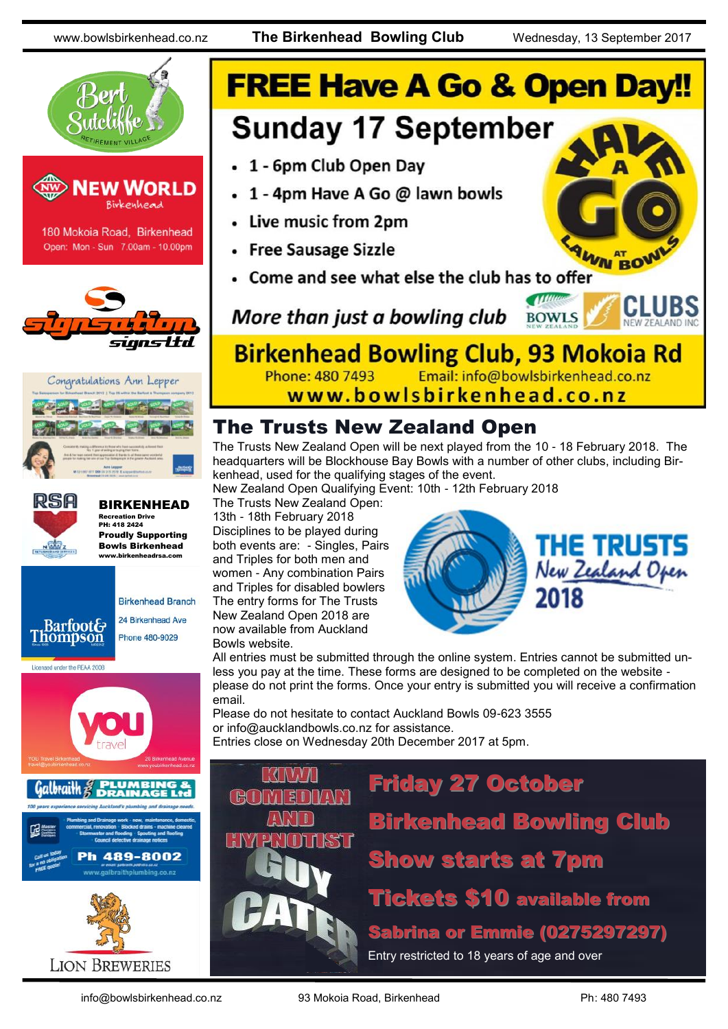www.bowlsbirkenhead.co.nz **The Birkenhead Bowling Club** Wednesday, 13 September 2017



## **FREE Have A Go & Open Day!! Sunday 17 September** • 1 - 6pm Club Open Day • 1 - 4pm Have A Go @ lawn bowls • Live music from 2pm • Free Sausage Sizzle WN BOV Come and see what else the club has to offer

More than just a bowling club

**Birkenhead Bowling Club, 93 Mokoia Rd** Email: info@bowlsbirkenhead.co.nz Phone: 480 7493 www.bowlsbirkenhead.co.nz

The Trusts New Zealand Open

The Trusts New Zealand Open will be next played from the 10 - 18 February 2018. The headquarters will be Blockhouse Bay Bowls with a number of other clubs, including Birkenhead, used for the qualifying stages of the event.

New Zealand Open Qualifying Event: 10th - 12th February 2018

The Trusts New Zealand Open: 13th - 18th February 2018 Disciplines to be played during both events are: - Singles, Pairs and Triples for both men and women - Any combination Pairs and Triples for disabled bowlers The entry forms for The Trusts New Zealand Open 2018 are now available from Auckland Bowls website.



**BOWLS** 

All entries must be submitted through the online system. Entries cannot be submitted unless you pay at the time. These forms are designed to be completed on the website please do not print the forms. Once your entry is submitted you will receive a confirmation email.

Please do not hesitate to contact Auckland Bowls 09-623 3555 or [info@aucklandbowls.co.nz](mailto:info@aucklandbowls.co.nz) for assistance. Entries close on Wednesday 20th December 2017 at 5pm.